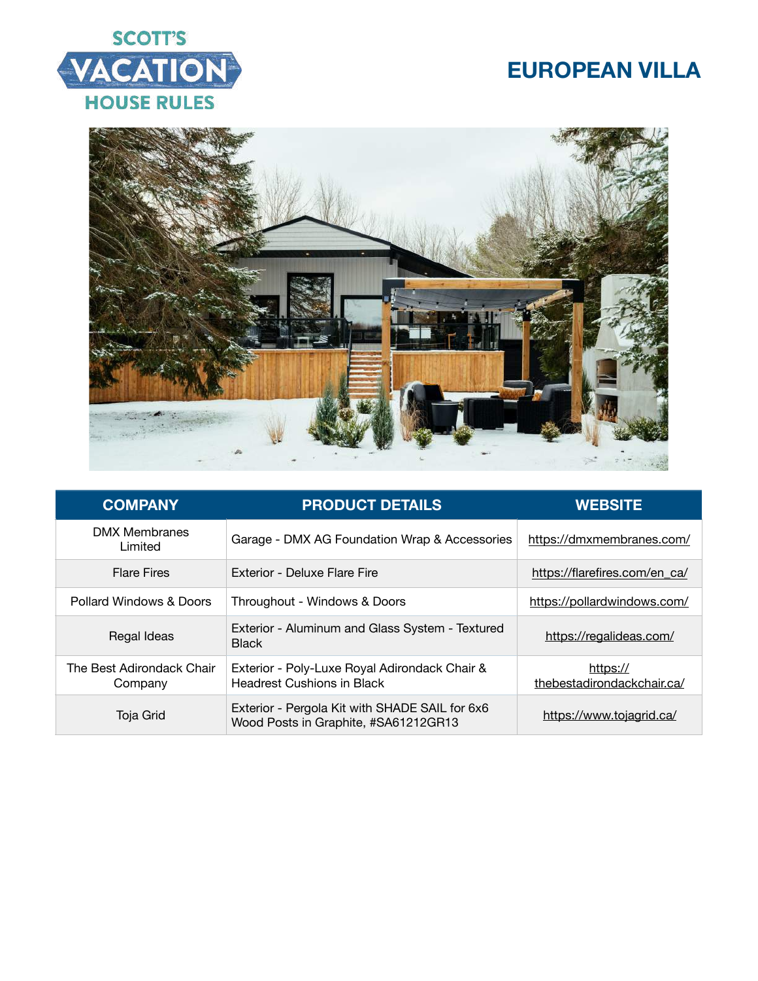



| <b>COMPANY</b>                       | <b>PRODUCT DETAILS</b>                                                                 | <b>WEBSITE</b>                         |
|--------------------------------------|----------------------------------------------------------------------------------------|----------------------------------------|
| <b>DMX Membranes</b><br>Limited      | Garage - DMX AG Foundation Wrap & Accessories                                          | https://dmxmembranes.com/              |
| <b>Flare Fires</b>                   | Exterior - Deluxe Flare Fire                                                           | https://flarefires.com/en_ca/          |
| Pollard Windows & Doors              | Throughout - Windows & Doors                                                           | https://pollardwindows.com/            |
| Regal Ideas                          | Exterior - Aluminum and Glass System - Textured<br><b>Black</b>                        | https://regalideas.com/                |
| The Best Adirondack Chair<br>Company | Exterior - Poly-Luxe Royal Adirondack Chair &<br><b>Headrest Cushions in Black</b>     | https://<br>thebestadirondackchair.ca/ |
| Toja Grid                            | Exterior - Pergola Kit with SHADE SAIL for 6x6<br>Wood Posts in Graphite, #SA61212GR13 | https://www.tojagrid.ca/               |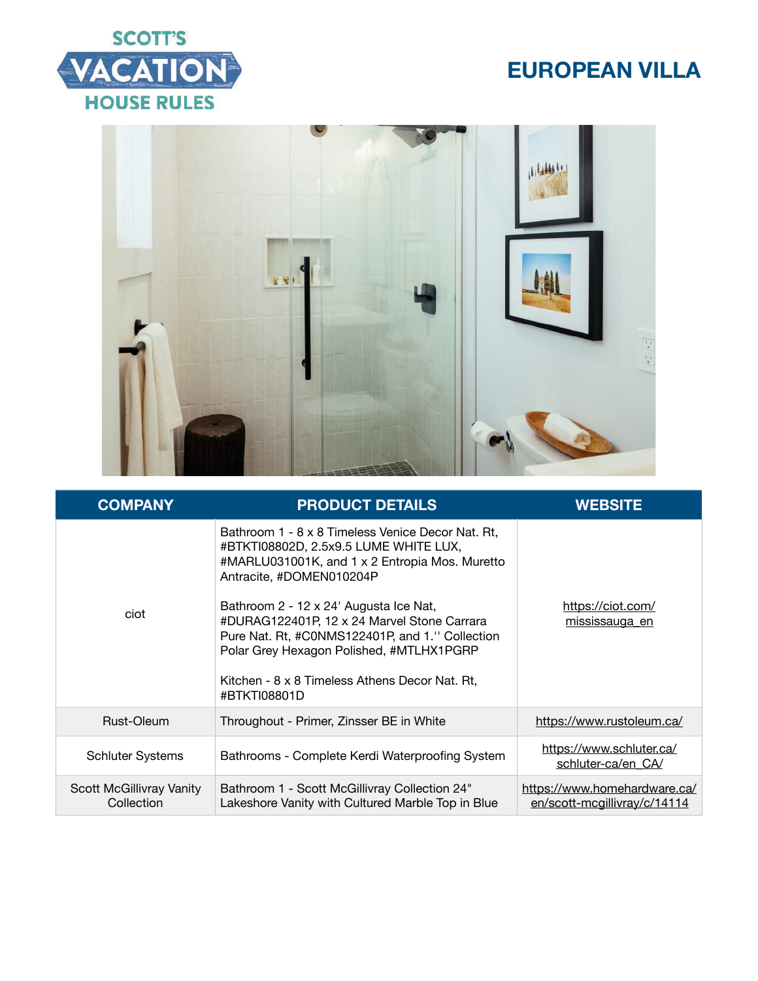



| <b>COMPANY</b>                                | <b>PRODUCT DETAILS</b>                                                                                                                                                                                                                                                                                                                                                                                                             | <b>WEBSITE</b>                                               |
|-----------------------------------------------|------------------------------------------------------------------------------------------------------------------------------------------------------------------------------------------------------------------------------------------------------------------------------------------------------------------------------------------------------------------------------------------------------------------------------------|--------------------------------------------------------------|
| ciot                                          | Bathroom 1 - 8 x 8 Timeless Venice Decor Nat. Rt,<br>#BTKTI08802D, 2.5x9.5 LUME WHITE LUX,<br>#MARLU031001K, and 1 x 2 Entropia Mos. Muretto<br>Antracite, #DOMEN010204P<br>Bathroom 2 - 12 x 24' Augusta Ice Nat,<br>#DURAG122401P, 12 x 24 Marvel Stone Carrara<br>Pure Nat. Rt, #C0NMS122401P, and 1." Collection<br>Polar Grey Hexagon Polished, #MTLHX1PGRP<br>Kitchen - 8 x 8 Timeless Athens Decor Nat. Rt.<br>#BTKTI08801D | https://ciot.com/<br>mississauga en                          |
|                                               |                                                                                                                                                                                                                                                                                                                                                                                                                                    |                                                              |
| Rust-Oleum                                    | Throughout - Primer, Zinsser BE in White                                                                                                                                                                                                                                                                                                                                                                                           | https://www.rustoleum.ca/                                    |
| <b>Schluter Systems</b>                       | Bathrooms - Complete Kerdi Waterproofing System                                                                                                                                                                                                                                                                                                                                                                                    | https://www.schluter.ca/<br>schluter-ca/en CA/               |
| <b>Scott McGillivray Vanity</b><br>Collection | Bathroom 1 - Scott McGillivray Collection 24"<br>Lakeshore Vanity with Cultured Marble Top in Blue                                                                                                                                                                                                                                                                                                                                 | https://www.homehardware.ca/<br>en/scott-mcgillivray/c/14114 |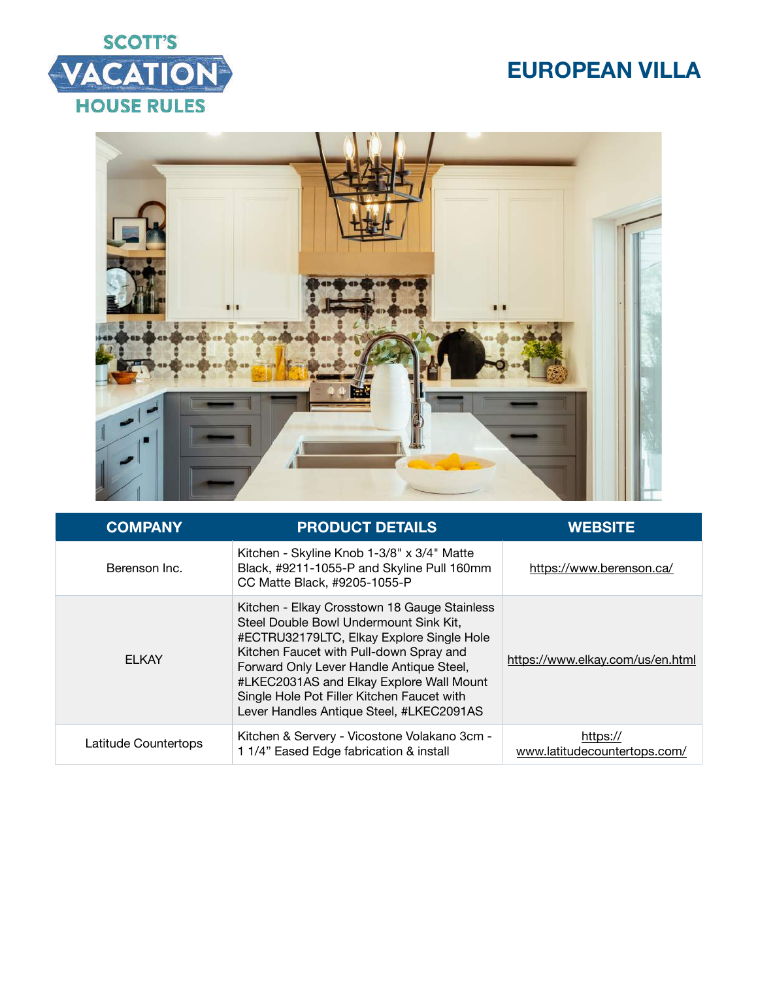# **SCOTT'S** VACATION **HOUSE RULES**



| <b>COMPANY</b>       | <b>PRODUCT DETAILS</b>                                                                                                                                                                                                                                                                                                                                           | <b>WEBSITE</b>                           |
|----------------------|------------------------------------------------------------------------------------------------------------------------------------------------------------------------------------------------------------------------------------------------------------------------------------------------------------------------------------------------------------------|------------------------------------------|
| Berenson Inc.        | Kitchen - Skyline Knob 1-3/8" x 3/4" Matte<br>Black, #9211-1055-P and Skyline Pull 160mm<br>CC Matte Black, #9205-1055-P                                                                                                                                                                                                                                         | https://www.berenson.ca/                 |
| <b>ELKAY</b>         | Kitchen - Elkay Crosstown 18 Gauge Stainless<br>Steel Double Bowl Undermount Sink Kit,<br>#ECTRU32179LTC, Elkay Explore Single Hole<br>Kitchen Faucet with Pull-down Spray and<br>Forward Only Lever Handle Antique Steel,<br>#LKEC2031AS and Elkay Explore Wall Mount<br>Single Hole Pot Filler Kitchen Faucet with<br>Lever Handles Antique Steel, #LKEC2091AS | https://www.elkay.com/us/en.html         |
| Latitude Countertops | Kitchen & Servery - Vicostone Volakano 3cm -<br>1 1/4" Eased Edge fabrication & install                                                                                                                                                                                                                                                                          | https://<br>www.latitudecountertops.com/ |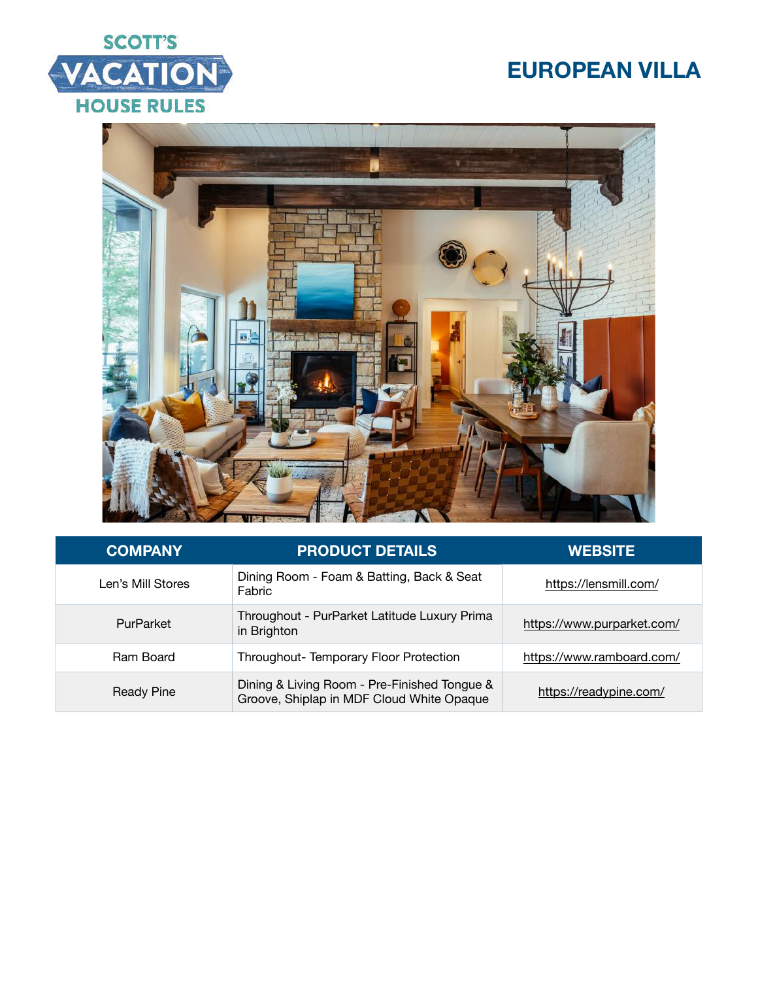



| <b>COMPANY</b>    | <b>PRODUCT DETAILS</b>                                                                    | <b>WEBSITE</b>             |
|-------------------|-------------------------------------------------------------------------------------------|----------------------------|
| Len's Mill Stores | Dining Room - Foam & Batting, Back & Seat<br>Fabric                                       | https://lensmill.com/      |
| PurParket         | Throughout - PurParket Latitude Luxury Prima<br>in Brighton                               | https://www.purparket.com/ |
| Ram Board         | Throughout-Temporary Floor Protection                                                     | https://www.ramboard.com/  |
| Ready Pine        | Dining & Living Room - Pre-Finished Tongue &<br>Groove, Shiplap in MDF Cloud White Opaque | https://readypine.com/     |